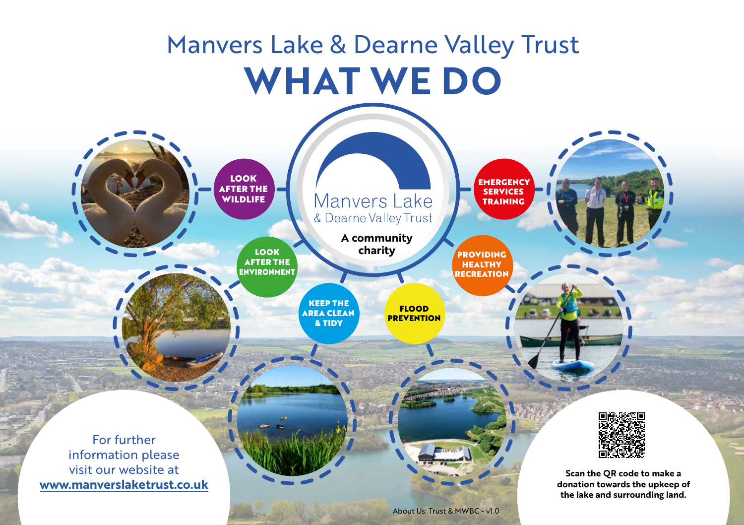